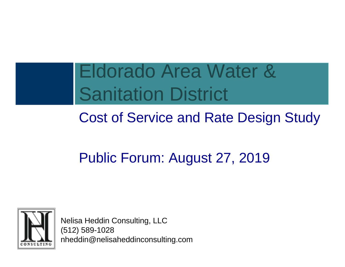### Eldorado Area Water & Sanitation District

#### Cost of Service and Rate Design Study

#### Public Forum: August 27, 2019



Nelisa Heddin Consulting, LLC (512) 589-1028 nheddin@nelisaheddinconsulting.com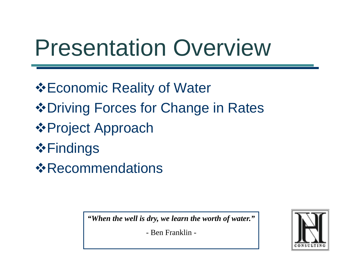# Presentation Overview

**Economic Reality of Water ❖ Driving Forces for Change in Rates** Project Approach **❖Findings** *<b>☆Recommendations* 

*"When the well is dry, we learn the worth of water."*

- Ben Franklin -

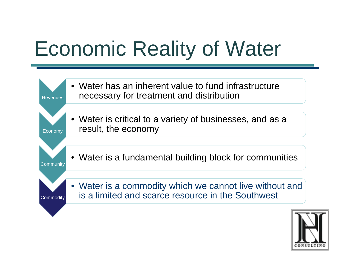# Economic Reality of Water



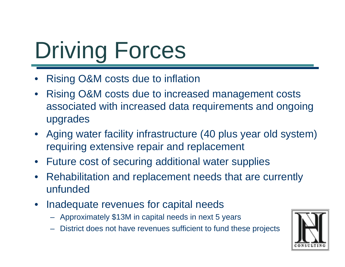# Driving Forces

- •Rising O&M costs due to inflation
- • Rising O&M costs due to increased management costs associated with increased data requirements and ongoing upgrades
- Aging water facility infrastructure (40 plus year old system) requiring extensive repair and replacement
- Future cost of securing additional water supplies
- Rehabilitation and replacement needs that are currently unfunded
- Inadequate revenues for capital needs
	- Approximately \$13M in capital needs in next 5 years
	- District does not have revenues sufficient to fund these projects

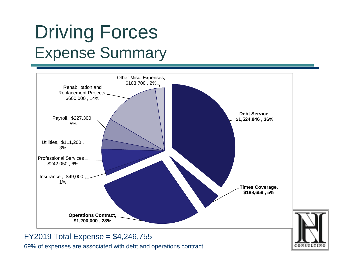#### Driving Forces Expense Summary





69% of expenses are associated with debt and operations contract.

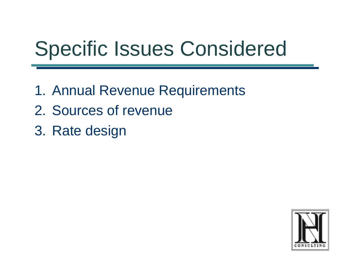# Specific Issues Considered

- 1. Annual Revenue Requirements
- 2. Sources of revenue
- 3. Rate design

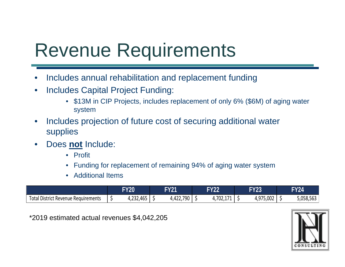#### Revenue Requirements

- $\bullet$ Includes annual rehabilitation and replacement funding
- $\bullet$  Includes Capital Project Funding:
	- \$13M in CIP Projects, includes replacement of only 6% (\$6M) of aging water system
- $\bullet$  Includes projection of future cost of securing additional water supplies
- $\bullet$  Does **not** Include:
	- Profit
	- Funding for replacement of remaining 94% of aging water system
	- Additional Items

|                                          | <b>FY20</b>                             | <b>FY21</b> | <b>FY22</b>                       | <b>FY23</b>                | <b>FY24</b> |
|------------------------------------------|-----------------------------------------|-------------|-----------------------------------|----------------------------|-------------|
| Total<br>I District Revenue Requirements | $\lambda$<br>$\sim$ $\sim$<br>4,232,465 | 4,422,75∪   | ר∩ד<br>$1 - 1$<br>1,7 U Z , 1 7 1 | 4,975,002<br>$\Lambda$ Q7F | 5,058,563   |

\*2019 estimated actual revenues \$4,042,205

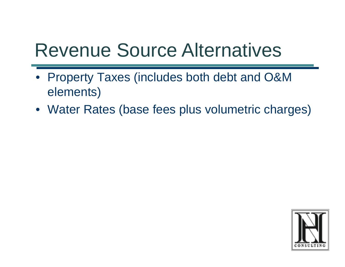#### Revenue Source Alternatives

- Property Taxes (includes both debt and O&M elements)
- Water Rates (base fees plus volumetric charges)

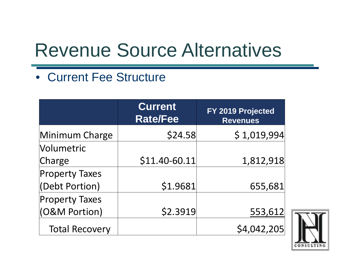### Revenue Source Alternatives

#### • Current Fee Structure

|                                         | <b>Current</b><br><b>Rate/Fee</b> | FY 2019 Projected<br><b>Revenues</b> |
|-----------------------------------------|-----------------------------------|--------------------------------------|
| Minimum Charge                          | \$24.58                           | \$1,019,994                          |
| <b>Volumetric</b>                       |                                   |                                      |
| Charge                                  | \$11.40-60.11                     | 1,812,918                            |
| <b>Property Taxes</b><br>(Debt Portion) | \$1.9681                          | 655,681                              |
| <b>Property Taxes</b>                   |                                   |                                      |
| (O&M Portion)                           | \$2.3919                          | 553,612                              |
| <b>Total Recovery</b>                   |                                   | \$4,042,205                          |

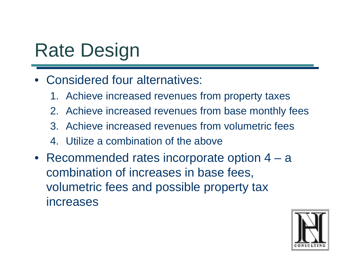### Rate Design

- Considered four alternatives:
	- 1. Achieve increased revenues from property taxes
	- 2. Achieve increased revenues from base monthly fees
	- 3. Achieve increased revenues from volumetric fees
	- 4. Utilize a combination of the above
- Recommended rates incorporate option 4 <sup>a</sup> combination of increases in base fees, volumetric fees and possible property tax increases

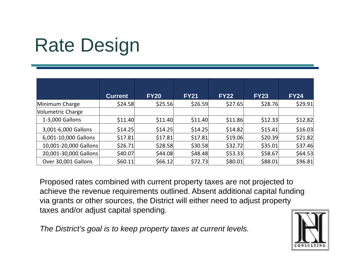### Rate Design

|                       | <b>Current</b> | <b>FY20</b> | <b>FY21</b> | <b>FY22</b> | <b>FY23</b> | <b>FY24</b> |
|-----------------------|----------------|-------------|-------------|-------------|-------------|-------------|
| Minimum Charge        | \$24.58        | \$25.56     | \$26.59     | \$27.65     | \$28.76     | \$29.91     |
| Volumetric Charge     |                |             |             |             |             |             |
| 1-3,000 Gallons       | \$11.40        | \$11.40     | \$11.40     | \$11.86     | \$12.33     | \$12.82     |
| 3,001-6,000 Gallons   | \$14.25        | \$14.25     | \$14.25     | \$14.82     | \$15.41     | \$16.03     |
| 6,001-10,000 Gallons  | \$17.81        | \$17.81     | \$17.81     | \$19.06     | \$20.39     | \$21.82     |
| 10,001-20,000 Gallons | \$26.71        | \$28.58     | \$30.58     | \$32.72     | \$35.01     | \$37.46     |
| 20,001-30,000 Gallons | \$40.07        | \$44.08     | \$48.48     | \$53.33     | \$58.67     | \$64.53     |
| Over 30,001 Gallons   | \$60.11]       | \$66.12     | \$72.73     | \$80.01     | \$88.01     | \$96.81     |

Proposed rates combined with current property taxes are not projected to achieve the revenue requirements outlined. Absent additional capital funding via grants or other sources, the District will either need to adjust property taxes and/or adjust capital spending.

*The District's goal is to keep property taxes at current levels.* 

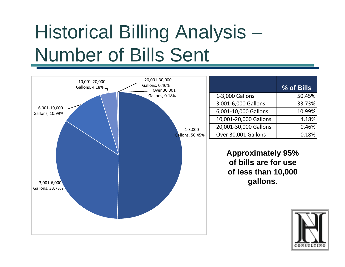# Historical Billing Analysis – Number of Bills Sent

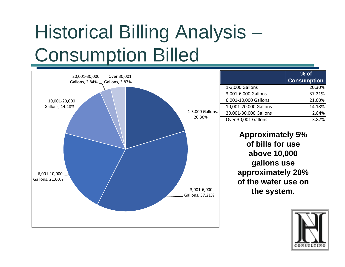# Historical Billing Analysis – Consumption Billed



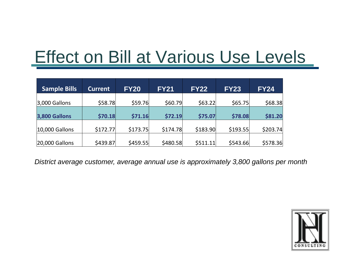#### Effect on Bill at Various Use Levels

| <b>Sample Bills</b> | <b>Current</b> | <b>FY20</b> | <b>FY21</b> | <b>FY22</b> | <b>FY23</b> | <b>FY24</b> |
|---------------------|----------------|-------------|-------------|-------------|-------------|-------------|
| $ 3,000$ Gallons    | \$58.78        | \$59.76     | \$60.79     | \$63.22     | \$65.75     | \$68.38     |
|                     |                |             |             |             |             |             |
| 3,800 Gallons       | \$70.18        | \$71.16     | \$72.19     | \$75.07     | \$78.08     | \$81.20     |
|                     |                |             |             |             |             |             |
| $ 10,000$ Gallons   | \$172.77       | \$173.75    | \$174.78    | \$183.90    | \$193.55    | \$203.74    |
|                     |                |             |             |             |             |             |
| $ 20,000$ Gallons   | \$439.87       | \$459.55    | \$480.58    | \$511.11    | \$543.66    | \$578.36    |

*District average customer, average annual use is approximately 3,800 gallons per month*